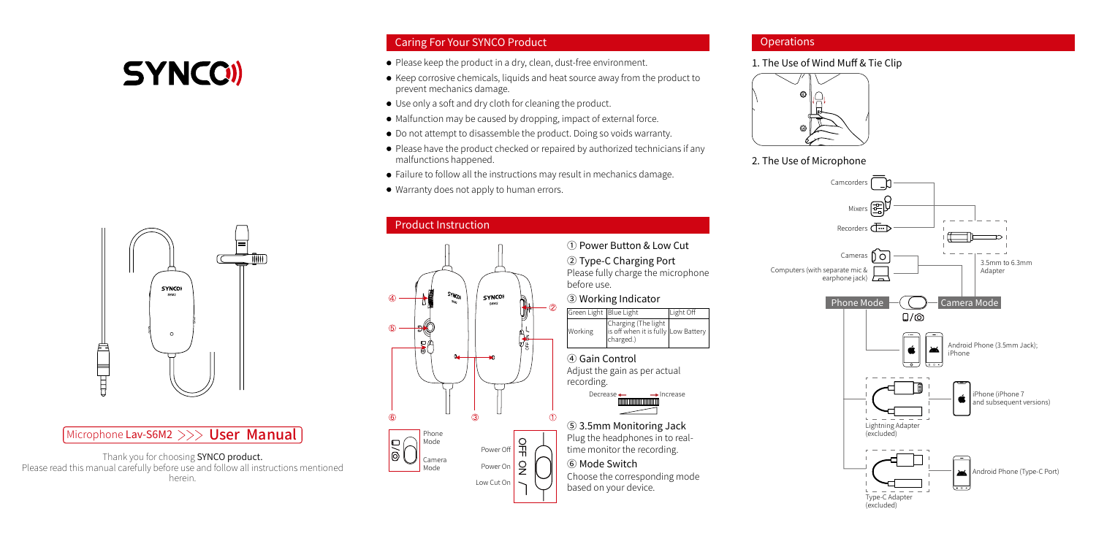# **SYNCO**

## Caring For Your SYNCO Product

- Please keep the product in a dry, clean, dust-free environment.
- Keep corrosive chemicals, liquids and heat source away from the product to prevent mechanics damage.
- Use only a soft and dry cloth for cleaning the product.
- $\bullet$  Malfunction may be caused by dropping, impact of external force.
- Do not attempt to disassemble the product. Doing so voids warranty.
- Please have the product checked or repaired by authorized technicians if any malfunctions happened.

Charging (The light is off when it is fully Low Battery

Light Off

charged.)

Decrease — — Increase

- Failure to follow all the instructions may result in mechanics damage.
- Warranty does not apply to human errors.

## Product Instruction



## **Operations**

1. The Use of Wind Muff & Tie Clip



## 2. The Use of Microphone





## Microphone Lav-S6M2 >>> User Manual

Thank you for choosing SYNCO product. Please read this manual carefully before use and follow all instructions mentioned herein.